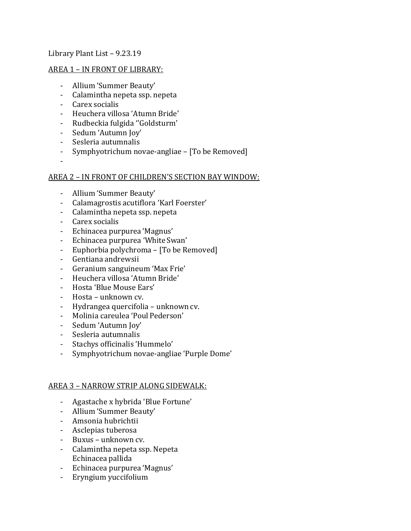# Library Plant List – 9.23.19

### AREA 1 – IN FRONT OF LIBRARY:

- Allium 'Summer Beauty'
- Calamintha nepeta ssp. nepeta
- Carex socialis
- Heuchera villosa 'Atumn Bride'
- Rudbeckia fulgida ''Goldsturm'
- Sedum 'Autumn Joy'
- Sesleria autumnalis
- Symphyotrichum novae-angliae [To be Removed]
- -

# AREA 2 – IN FRONT OF CHILDREN'S SECTION BAY WINDOW:

- Allium 'Summer Beauty'
- Calamagrostis acutiflora 'Karl Foerster'
- Calamintha nepeta ssp. nepeta
- Carex socialis
- Echinacea purpurea 'Magnus'
- Echinacea purpurea 'White Swan'
- Euphorbia polychroma [To be Removed]
- Gentiana andrewsii
- Geranium sanguineum 'Max Frie'
- Heuchera villosa 'Atumn Bride'
- Hosta 'Blue Mouse Ears'
- Hosta unknown cv.
- Hydrangea quercifolia unknown cv.
- Molinia careulea 'Poul Pederson'
- Sedum 'Autumn Joy'
- Sesleria autumnalis
- Stachys officinalis 'Hummelo'
- Symphyotrichum novae-angliae 'Purple Dome'

#### AREA 3 – NARROW STRIP ALONG SIDEWALK:

- Agastache x hybrida 'Blue Fortune'
- Allium 'Summer Beauty'
- Amsonia hubrichtii
- Asclepias tuberosa
- Buxus unknown cv.
- Calamintha nepeta ssp. Nepeta Echinacea pallida
- Echinacea purpurea 'Magnus'
- Eryngium yuccifolium